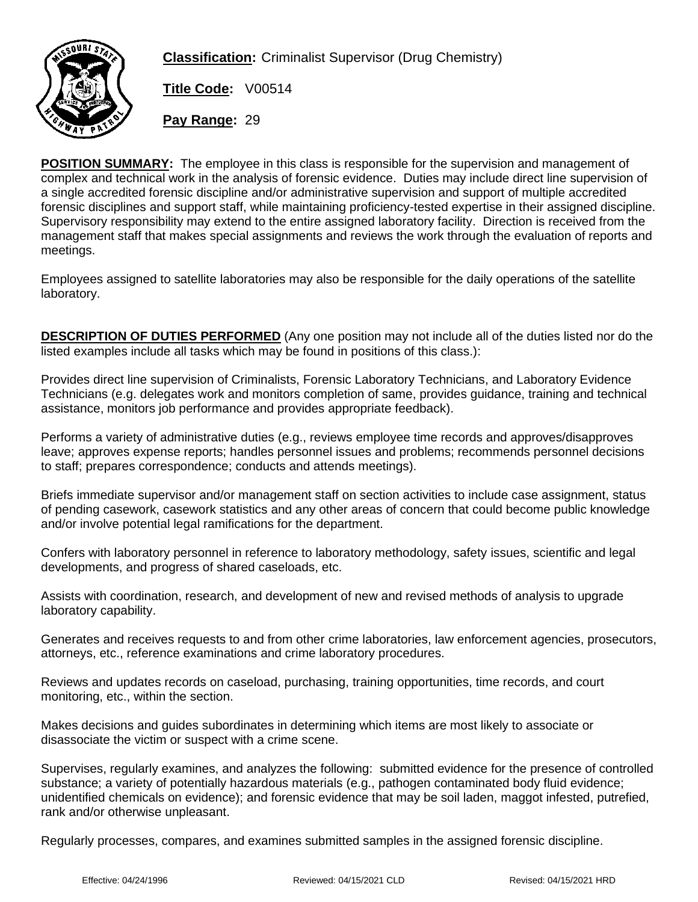

**Classification:** Criminalist Supervisor (Drug Chemistry)

**Title Code:** V00514

**Pay Range:** 29

**POSITION SUMMARY:** The employee in this class is responsible for the supervision and management of complex and technical work in the analysis of forensic evidence. Duties may include direct line supervision of a single accredited forensic discipline and/or administrative supervision and support of multiple accredited forensic disciplines and support staff, while maintaining proficiency-tested expertise in their assigned discipline. Supervisory responsibility may extend to the entire assigned laboratory facility. Direction is received from the management staff that makes special assignments and reviews the work through the evaluation of reports and meetings.

Employees assigned to satellite laboratories may also be responsible for the daily operations of the satellite laboratory.

**DESCRIPTION OF DUTIES PERFORMED** (Any one position may not include all of the duties listed nor do the listed examples include all tasks which may be found in positions of this class.):

Provides direct line supervision of Criminalists, Forensic Laboratory Technicians, and Laboratory Evidence Technicians (e.g. delegates work and monitors completion of same, provides guidance, training and technical assistance, monitors job performance and provides appropriate feedback).

Performs a variety of administrative duties (e.g., reviews employee time records and approves/disapproves leave; approves expense reports; handles personnel issues and problems; recommends personnel decisions to staff; prepares correspondence; conducts and attends meetings).

Briefs immediate supervisor and/or management staff on section activities to include case assignment, status of pending casework, casework statistics and any other areas of concern that could become public knowledge and/or involve potential legal ramifications for the department.

Confers with laboratory personnel in reference to laboratory methodology, safety issues, scientific and legal developments, and progress of shared caseloads, etc.

Assists with coordination, research, and development of new and revised methods of analysis to upgrade laboratory capability.

Generates and receives requests to and from other crime laboratories, law enforcement agencies, prosecutors, attorneys, etc., reference examinations and crime laboratory procedures.

Reviews and updates records on caseload, purchasing, training opportunities, time records, and court monitoring, etc., within the section.

Makes decisions and guides subordinates in determining which items are most likely to associate or disassociate the victim or suspect with a crime scene.

Supervises, regularly examines, and analyzes the following: submitted evidence for the presence of controlled substance; a variety of potentially hazardous materials (e.g., pathogen contaminated body fluid evidence; unidentified chemicals on evidence); and forensic evidence that may be soil laden, maggot infested, putrefied, rank and/or otherwise unpleasant.

Regularly processes, compares, and examines submitted samples in the assigned forensic discipline.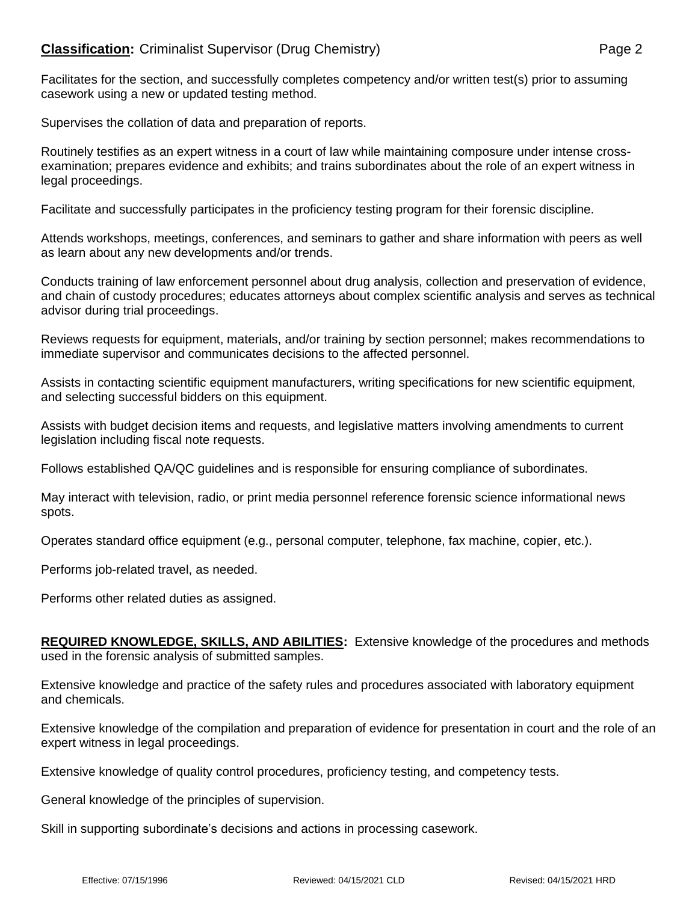## **Classification:** Criminalist Supervisor (Drug Chemistry) **Page 2** Page 2

Facilitates for the section, and successfully completes competency and/or written test(s) prior to assuming casework using a new or updated testing method.

Supervises the collation of data and preparation of reports.

Routinely testifies as an expert witness in a court of law while maintaining composure under intense crossexamination; prepares evidence and exhibits; and trains subordinates about the role of an expert witness in legal proceedings.

Facilitate and successfully participates in the proficiency testing program for their forensic discipline.

Attends workshops, meetings, conferences, and seminars to gather and share information with peers as well as learn about any new developments and/or trends.

Conducts training of law enforcement personnel about drug analysis, collection and preservation of evidence, and chain of custody procedures; educates attorneys about complex scientific analysis and serves as technical advisor during trial proceedings.

Reviews requests for equipment, materials, and/or training by section personnel; makes recommendations to immediate supervisor and communicates decisions to the affected personnel.

Assists in contacting scientific equipment manufacturers, writing specifications for new scientific equipment, and selecting successful bidders on this equipment.

Assists with budget decision items and requests, and legislative matters involving amendments to current legislation including fiscal note requests.

Follows established QA/QC guidelines and is responsible for ensuring compliance of subordinates.

May interact with television, radio, or print media personnel reference forensic science informational news spots.

Operates standard office equipment (e.g., personal computer, telephone, fax machine, copier, etc.).

Performs job-related travel, as needed.

Performs other related duties as assigned.

**REQUIRED KNOWLEDGE, SKILLS, AND ABILITIES:** Extensive knowledge of the procedures and methods used in the forensic analysis of submitted samples.

Extensive knowledge and practice of the safety rules and procedures associated with laboratory equipment and chemicals.

Extensive knowledge of the compilation and preparation of evidence for presentation in court and the role of an expert witness in legal proceedings.

Extensive knowledge of quality control procedures, proficiency testing, and competency tests.

General knowledge of the principles of supervision.

Skill in supporting subordinate's decisions and actions in processing casework.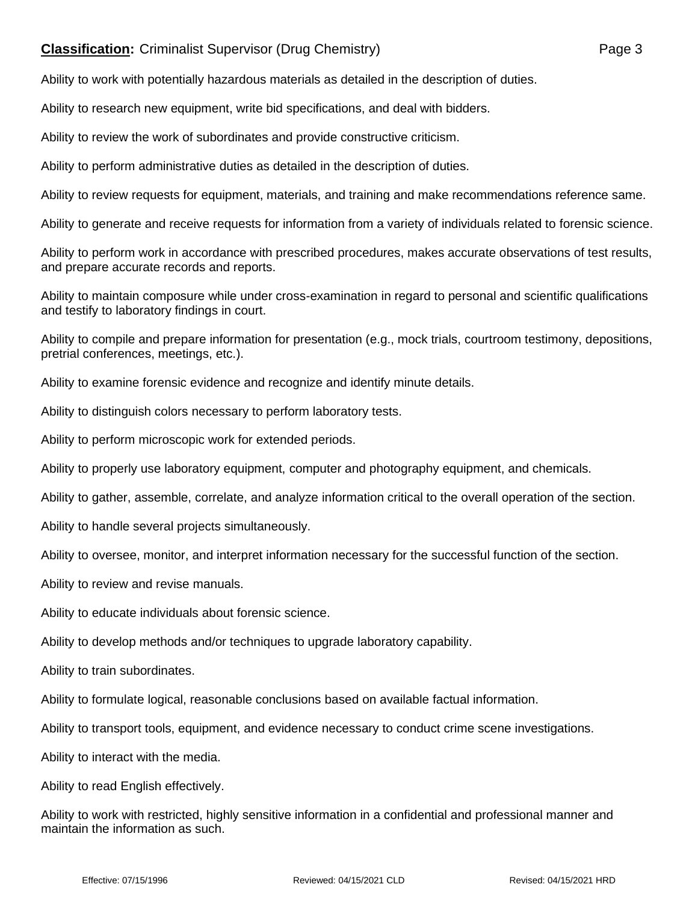## **Classification:** Criminalist Supervisor (Drug Chemistry) **Page 3** Page 3

Ability to work with potentially hazardous materials as detailed in the description of duties.

Ability to research new equipment, write bid specifications, and deal with bidders.

Ability to review the work of subordinates and provide constructive criticism.

Ability to perform administrative duties as detailed in the description of duties.

Ability to review requests for equipment, materials, and training and make recommendations reference same.

Ability to generate and receive requests for information from a variety of individuals related to forensic science.

Ability to perform work in accordance with prescribed procedures, makes accurate observations of test results, and prepare accurate records and reports.

Ability to maintain composure while under cross-examination in regard to personal and scientific qualifications and testify to laboratory findings in court.

Ability to compile and prepare information for presentation (e.g., mock trials, courtroom testimony, depositions, pretrial conferences, meetings, etc.).

Ability to examine forensic evidence and recognize and identify minute details.

Ability to distinguish colors necessary to perform laboratory tests.

Ability to perform microscopic work for extended periods.

Ability to properly use laboratory equipment, computer and photography equipment, and chemicals.

Ability to gather, assemble, correlate, and analyze information critical to the overall operation of the section.

Ability to handle several projects simultaneously.

Ability to oversee, monitor, and interpret information necessary for the successful function of the section.

Ability to review and revise manuals.

Ability to educate individuals about forensic science.

Ability to develop methods and/or techniques to upgrade laboratory capability.

Ability to train subordinates.

Ability to formulate logical, reasonable conclusions based on available factual information.

Ability to transport tools, equipment, and evidence necessary to conduct crime scene investigations.

Ability to interact with the media.

Ability to read English effectively.

Ability to work with restricted, highly sensitive information in a confidential and professional manner and maintain the information as such.